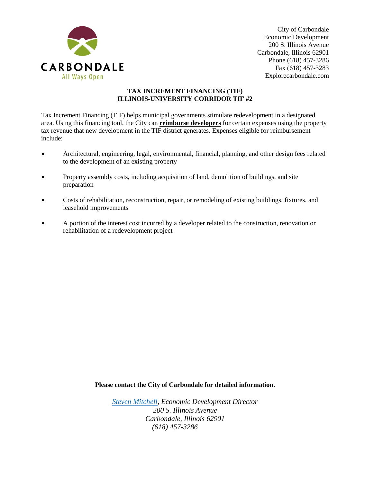

City of Carbondale Economic Development 200 S. Illinois Avenue Carbondale, Illinois 62901 Phone (618) 457-3286 Fax (618) 457-3283 Explorecarbondale.com

## **TAX INCREMENT FINANCING (TIF) ILLINOIS-UNIVERSITY CORRIDOR TIF #2**

Tax Increment Financing (TIF) helps municipal governments stimulate redevelopment in a designated area. Using this financing tool, the City can **reimburse developers** for certain expenses using the property tax revenue that new development in the TIF district generates. Expenses eligible for reimbursement include:

- $\bullet$  Architectural, engineering, legal, environmental, financial, planning, and other design fees related to the development of an existing property
- Property assembly costs, including acquisition of land, demolition of buildings, and site preparation
- Costs of rehabilitation, reconstruction, repair, or remodeling of existing buildings, fixtures, and leasehold improvements
- A portion of the interest cost incurred by a developer related to the construction, renovation or rehabilitation of a redevelopment project

**Please contact the City of Carbondale for detailed information.**

*[Steven Mitchell,](mailto:steven.mitchell@explorecarbondale.com) Economic Development Director 200 S. Illinois Avenue Carbondale, Illinois 62901 (618) 457-3286*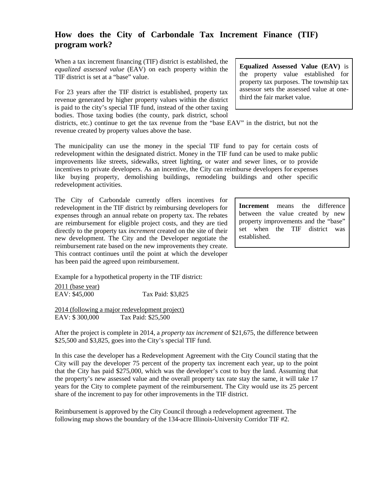## **How does the City of Carbondale Tax Increment Finance (TIF) program work?**

When a tax increment financing (TIF) district is established, the *equalized assessed value* (EAV) on each property within the TIF district is set at a "base" value.

For 23 years after the TIF district is established, property tax revenue generated by higher property values within the district is paid to the city's special TIF fund, instead of the other taxing bodies. Those taxing bodies (the county, park district, school

districts, etc.) continue to get the tax revenue from the "base EAV" in the district, but not the revenue created by property values above the base.

The municipality can use the money in the special TIF fund to pay for certain costs of redevelopment within the designated district. Money in the TIF fund can be used to make public improvements like streets, sidewalks, street lighting, or water and sewer lines, or to provide incentives to private developers. As an incentive, the City can reimburse developers for expenses like buying property, demolishing buildings, remodeling buildings and other specific redevelopment activities.

The City of Carbondale currently offers incentives for redevelopment in the TIF district by reimbursing developers for expenses through an annual rebate on property tax. The rebates are reimbursement for eligible project costs, and they are tied directly to the property tax *increment* created on the site of their new development. The City and the Developer negotiate the reimbursement rate based on the new improvements they create. This contract continues until the point at which the developer has been paid the agreed upon reimbursement.

Example for a hypothetical property in the TIF district:

2011 (base year) EAV: \$45,000 Tax Paid: \$3,825

2014 (following a major redevelopment project) EAV: \$ 300,000 Tax Paid: \$25,500

After the project is complete in 2014, a *property tax increment* of \$21,675, the difference between \$25,500 and \$3,825, goes into the City's special TIF fund.

In this case the developer has a Redevelopment Agreement with the City Council stating that the City will pay the developer 75 percent of the property tax increment each year, up to the point that the City has paid \$275,000, which was the developer's cost to buy the land. Assuming that the property's new assessed value and the overall property tax rate stay the same, it will take 17 years for the City to complete payment of the reimbursement. The City would use its 25 percent share of the increment to pay for other improvements in the TIF district.

Reimbursement is approved by the City Council through a redevelopment agreement. The following map shows the boundary of the 134-acre Illinois-University Corridor TIF #2.

**Equalized Assessed Value (EAV)** is the property value established for property tax purposes. The township tax assessor sets the assessed value at onethird the fair market value.

**Increment** means the difference between the value created by new property improvements and the "base" set when the TIF district was established.